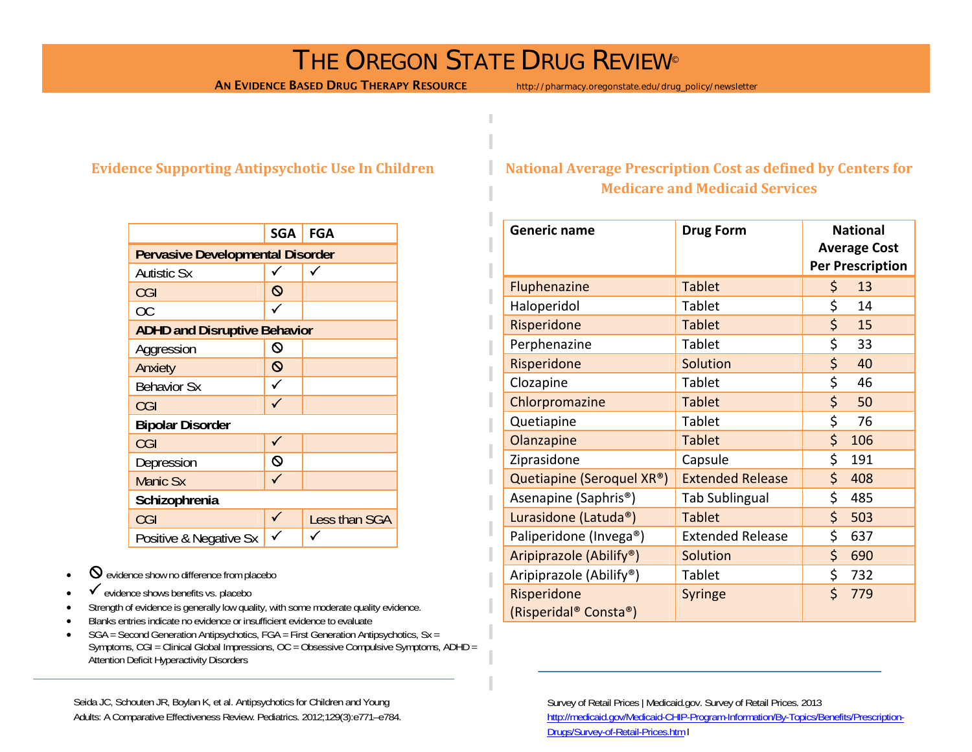### THE OREGON STATE DRUG REVIEW®

AN EVIDENCE BASED DRUG THERAPY RESOURCE http://pharmacy.oregonstate.edu/drug\_policy/newsletter

#### **Evidence Supporting Antipsychotic Use In Children**

|                                         | <b>SGA</b>        | FGA           |  |  |
|-----------------------------------------|-------------------|---------------|--|--|
| <b>Pervasive Developmental Disorder</b> |                   |               |  |  |
| <b>Autistic Sx</b>                      |                   |               |  |  |
| CGI                                     | $\mathsf{\Omega}$ |               |  |  |
| ОC                                      |                   |               |  |  |
| <b>ADHD and Disruptive Behavior</b>     |                   |               |  |  |
| Aggression                              | Q                 |               |  |  |
| Anxiety                                 | $\mathsf{\Omega}$ |               |  |  |
| <b>Behavior Sx</b>                      |                   |               |  |  |
| CGI                                     |                   |               |  |  |
| <b>Bipolar Disorder</b>                 |                   |               |  |  |
| CGI                                     |                   |               |  |  |
| Depression                              | Q                 |               |  |  |
| <b>Manic Sx</b>                         |                   |               |  |  |
| Schizophrenia                           |                   |               |  |  |
| CGI                                     | ✓                 | Less than SGA |  |  |
| Positive & Negative Sx                  |                   |               |  |  |

- • $\Theta$  evidence show no difference from placebo
- • $\checkmark$  evidence shows benefits vs. placebo
- •Strength of evidence is generally low quality, with some moderate quality evidence.
- •Blanks entries indicate no evidence or insufficient evidence to evaluate
- • SGA = Second Generation Antipsychotics, FGA = First Generation Antipsychotics, Sx = Symptoms, CGI = Clinical Global Impressions, OC = Obsessive Compulsive Symptoms, ADHD = Attention Deficit Hyperactivity Disorders

Seida JC, Schouten JR, Boylan K, et al. Antipsychotics for Children and Young Adults: A Comparative Effectiveness Review. Pediatrics. 2012;129(3):e771–e784.

#### **National Average Prescription Cost as defined by Centers for Medicare and Medicaid Services**

| <b>Generic name</b>                  | <b>Drug Form</b>        | <b>National</b><br><b>Average Cost</b><br><b>Per Prescription</b> |     |
|--------------------------------------|-------------------------|-------------------------------------------------------------------|-----|
| Fluphenazine                         | <b>Tablet</b>           | \$                                                                | 13  |
| Haloperidol                          | Tablet                  | \$                                                                | 14  |
| Risperidone                          | <b>Tablet</b>           | \$                                                                | 15  |
| Perphenazine                         | Tablet                  | \$                                                                | 33  |
| Risperidone                          | <b>Solution</b>         | \$                                                                | 40  |
| Clozapine                            | Tablet                  | \$                                                                | 46  |
| Chlorpromazine                       | <b>Tablet</b>           | \$                                                                | 50  |
| Quetiapine                           | Tablet                  | \$                                                                | 76  |
| Olanzapine                           | <b>Tablet</b>           | \$                                                                | 106 |
| Ziprasidone                          | Capsule                 | \$                                                                | 191 |
| Quetiapine (Seroquel XR®)            | <b>Extended Release</b> | \$                                                                | 408 |
| Asenapine (Saphris <sup>®</sup> )    | <b>Tab Sublingual</b>   | \$                                                                | 485 |
| Lurasidone (Latuda®)                 | <b>Tablet</b>           | \$                                                                | 503 |
| Paliperidone (Invega®)               | <b>Extended Release</b> | \$                                                                | 637 |
| Aripiprazole (Abilify®)              | <b>Solution</b>         | \$                                                                | 690 |
| Aripiprazole (Abilify®)              | Tablet                  | \$                                                                | 732 |
| Risperidone<br>(Risperidal® Consta®) | Syringe                 | \$                                                                | 779 |

Survey of Retail Prices | Medicaid.gov. Survey of Retail Prices. 2013 http://medicaid.gov/Medicaid-CHIP-Program-Information/By-Topics/Benefits/Prescription-Drugs/Survey-of-Retail-Prices.htm l